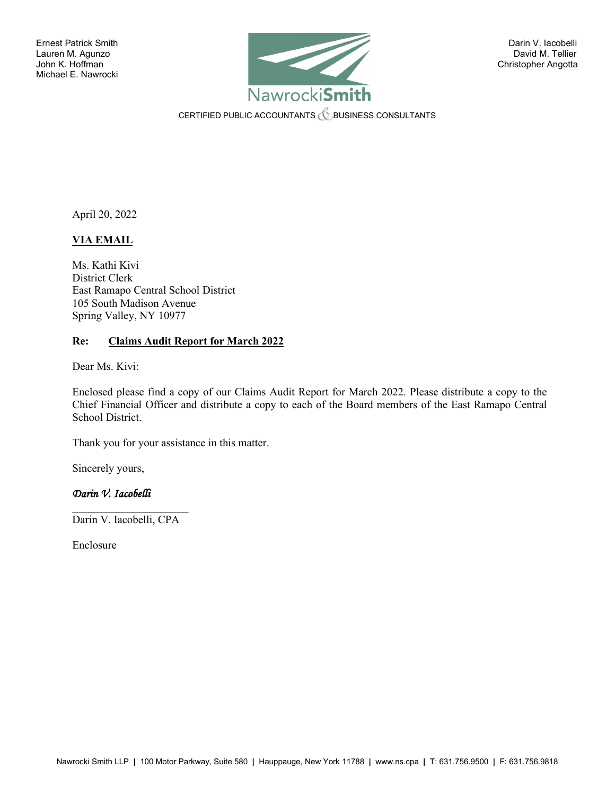

CERTIFIED PUBLIC ACCOUNTANTS **CERTIFIED PUBLIC ACCOUNTANTS** 

April 20, 2022

#### **VIA EMAIL**

Ms. Kathi Kivi District Clerk East Ramapo Central School District 105 South Madison Avenue Spring Valley, NY 10977

#### **Re: Claims Audit Report for March 2022**

Dear Ms. Kivi:

Enclosed please find a copy of our Claims Audit Report for March 2022. Please distribute a copy to the Chief Financial Officer and distribute a copy to each of the Board members of the East Ramapo Central School District.

Thank you for your assistance in this matter.

Sincerely yours,

### *Darin V. Iacobelli*

 $\mathcal{L}_\text{max}$  , where  $\mathcal{L}_\text{max}$ Darin V. Iacobelli, CPA

Enclosure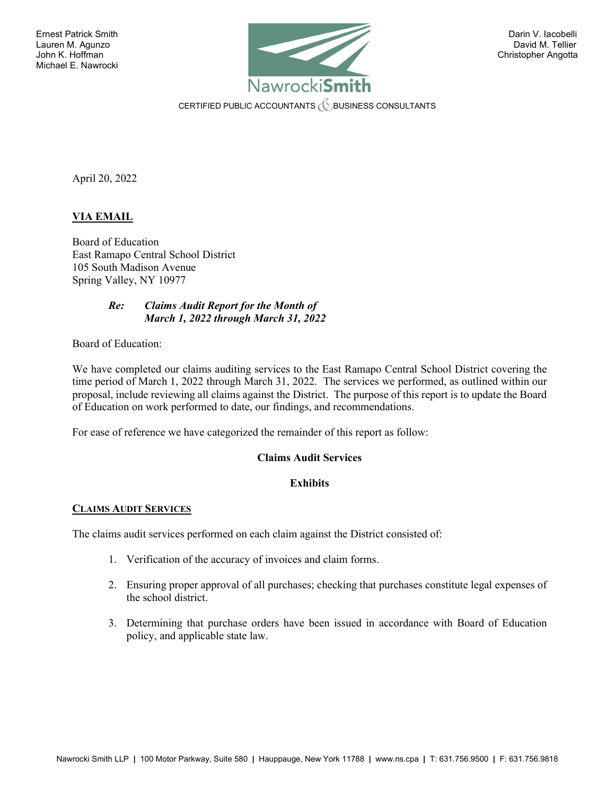

CERTIFIED PUBLIC ACCOUNTANTS  $\mathcal C$  business consultants

April 20, 2022

#### **VIA EMAIL**

Board of Education East Ramapo Central School District 105 South Madison Avenue Spring Valley, NY 10977

#### *Re: Claims Audit Report for the Month of March 1, 2022 through March 31, 2022*

Board of Education:

We have completed our claims auditing services to the East Ramapo Central School District covering the time period of March 1, 2022 through March 31, 2022. The services we performed, as outlined within our proposal, include reviewing all claims against the District. The purpose of this report is to update the Board of Education on work performed to date, our findings, and recommendations.

For ease of reference we have categorized the remainder of this report as follow:

#### **Claims Audit Services**

#### **Exhibits**

#### **CLAIMS AUDIT SERVICES**

The claims audit services performed on each claim against the District consisted of:

- 1. Verification of the accuracy of invoices and claim forms.
- 2. Ensuring proper approval of all purchases; checking that purchases constitute legal expenses of the school district.
- 3. Determining that purchase orders have been issued in accordance with Board of Education policy, and applicable state law.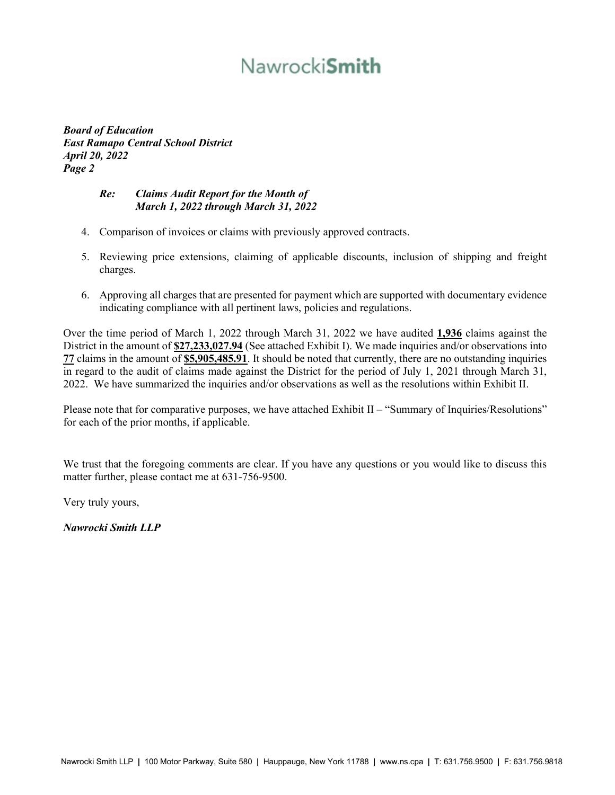# Nawrocki**Smith**

*Board of Education East Ramapo Central School District April 20, 2022 Page 2* 

#### *Re: Claims Audit Report for the Month of March 1, 2022 through March 31, 2022*

- 4. Comparison of invoices or claims with previously approved contracts.
- 5. Reviewing price extensions, claiming of applicable discounts, inclusion of shipping and freight charges.
- 6. Approving all charges that are presented for payment which are supported with documentary evidence indicating compliance with all pertinent laws, policies and regulations.

Over the time period of March 1, 2022 through March 31, 2022 we have audited **1,936** claims against the District in the amount of **\$27,233,027.94** (See attached Exhibit I). We made inquiries and/or observations into **77** claims in the amount of **\$5,905,485.91**. It should be noted that currently, there are no outstanding inquiries in regard to the audit of claims made against the District for the period of July 1, 2021 through March 31, 2022. We have summarized the inquiries and/or observations as well as the resolutions within Exhibit II.

Please note that for comparative purposes, we have attached Exhibit II – "Summary of Inquiries/Resolutions" for each of the prior months, if applicable.

We trust that the foregoing comments are clear. If you have any questions or you would like to discuss this matter further, please contact me at 631-756-9500.

Very truly yours,

*Nawrocki Smith LLP*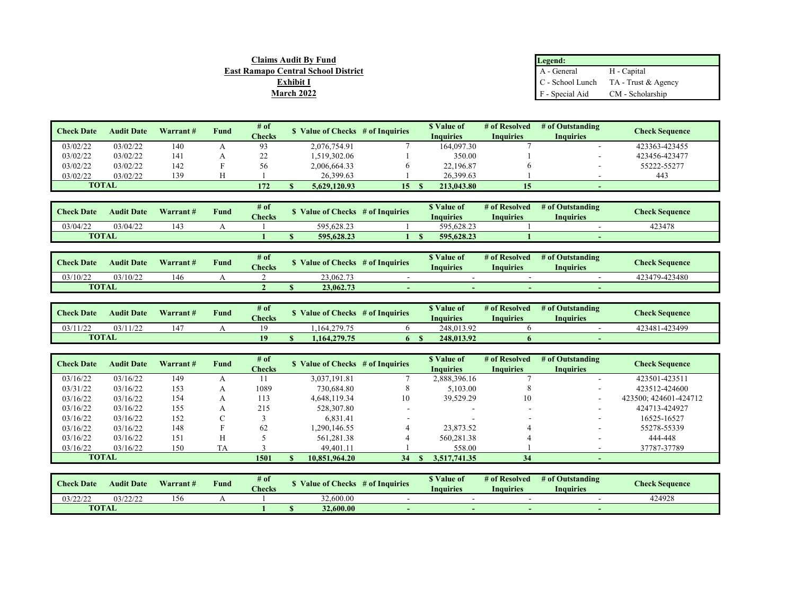| <b>Claims Audit By Fund</b>         | Legend:         |                                        |
|-------------------------------------|-----------------|----------------------------------------|
| East Ramapo Central School District | A - General     | H - Capital                            |
| <b>Exhibit I</b>                    |                 | $C$ - School Lunch TA - Trust & Agency |
| March 2022                          | F - Special Aid | CM - Scholarship                       |

| <b>Check Date</b> | <b>Audit Date</b> | Warrant# | <b>Fund</b> | # of    | \$ Value of Checks # of Inquiries |    | <b>S</b> Value of | # of Resolved | # of Outstanding         | <b>Check Sequence</b> |
|-------------------|-------------------|----------|-------------|---------|-----------------------------------|----|-------------------|---------------|--------------------------|-----------------------|
|                   |                   |          |             | Checks  |                                   |    | Inquiries         | Inquiries     | Inauiries                |                       |
| 03/02/22          | 03/02/22          | 140      |             | 93      | 2,076,754.91                      |    | 164,097.30        |               |                          | 423363-423455         |
| 03/02/22          | 03/02/22          | 141      |             | າາ<br>∸ | 1.519.302.06                      |    | 350.00            |               | $\overline{\phantom{a}}$ | 423456-423477         |
| 03/02/22          | 03/02/22          | 142      |             | 56      | 2,006,664.33                      |    | 22,196.87         |               |                          | 55222-55277           |
| 03/02/22          | 03/02/22          | 139      |             |         | 26,399.63                         |    | 26,399.63         |               |                          | 443                   |
| <b>TOTAL</b>      |                   |          |             | 172     | 5,629,120.93                      | 15 | 213.043.80        | 15            | $\sim$                   |                       |

| <b>Check Date</b> | <b>Audit Date</b> | Warrant# | $\sim$<br>Fund | $#$ of<br><b>Checks</b> | alue of Checks/ | # of Inquiries | <sup>*</sup> Value of<br>Inquiries | # of Resolved<br>Inauiries | # of Outstanding<br><b>Inquiries</b> | <b>Check Sequence</b> |
|-------------------|-------------------|----------|----------------|-------------------------|-----------------|----------------|------------------------------------|----------------------------|--------------------------------------|-----------------------|
| 03/04/22          | 03/04/22          | 43       |                |                         | 595.628.23      |                | 595,628.23                         |                            |                                      | 423478                |
| <b>TOTAL</b>      |                   |          |                |                         | 595.628.23      |                | 595.628.23                         |                            |                                      |                       |

| <b>Check Date</b> | <b>Audit Date</b> | Warrant# | $\sim$<br>Fund | # of<br><b>Checks</b> | <b>S</b> Value of Checks | # of Inquiries | <sup>*</sup> Value of<br>Inquiries | # of Resolved<br>Inauiries | # of Outstanding<br><b>Inquiries</b> | <b>Check Sequence</b> |
|-------------------|-------------------|----------|----------------|-----------------------|--------------------------|----------------|------------------------------------|----------------------------|--------------------------------------|-----------------------|
| 03/10/22          | 03/10/22          | 146      |                |                       | 23,062.73                |                |                                    |                            |                                      | 423479-423480         |
| <b>TOTAL</b>      |                   |          |                |                       | 23,062.73                |                |                                    |                            |                                      |                       |

| <b>Check Date</b> | <b>Audit Date</b> | Warrant# | <b>Fund</b> | $#$ of<br><b>Checks</b> | Value of Checks | # of Inquiries | <sup>*</sup> Value of<br><b>Inquiries</b> | # of Resolved<br>Inauiries | # of Outstanding<br><b>Inquiries</b> | <b>Check Sequence</b> |
|-------------------|-------------------|----------|-------------|-------------------------|-----------------|----------------|-------------------------------------------|----------------------------|--------------------------------------|-----------------------|
| 03/11/22          | 03/11/22          | .47      |             |                         | 1.164.279.75    |                | 248,013.92                                |                            |                                      | 423481-423499         |
| <b>TOTAL</b>      |                   |          |             | 10                      | 1.164.279.75    |                | 248.013.92                                |                            |                                      |                       |

| <b>Check Date</b> | <b>Audit Date</b> | Warrant# | <b>Fund</b> | # of<br><b>Checks</b> | S Value of Checks # of Inquiries |    | \$ Value of<br><b>Inquiries</b> | # of Resolved<br><b>Inquiries</b> | # of Outstanding<br><b>Inquiries</b> | Check Sequence        |
|-------------------|-------------------|----------|-------------|-----------------------|----------------------------------|----|---------------------------------|-----------------------------------|--------------------------------------|-----------------------|
| 03/16/22          | 03/16/22          | 149      |             |                       | 3.037.191.81                     |    | 2,888,396.16                    |                                   |                                      | 423501-423511         |
| 03/31/22          | 03/16/22          | 153      |             | 1089                  | 730,684.80                       |    | 5,103.00                        |                                   |                                      | 423512-424600         |
| 03/16/22          | 03/16/22          | 154      |             | 113                   | 4.648.119.34                     | 10 | 39.529.29                       | 10                                |                                      | 423500: 424601-424712 |
| 03/16/22          | 03/16/22          | 155      |             | 215                   | 528,307.80                       |    |                                 | $\overline{\phantom{a}}$          | -                                    | 424713-424927         |
| 03/16/22          | 03/16/22          | 152      |             |                       | 6,831.41                         |    |                                 |                                   | -                                    | 16525-16527           |
| 03/16/22          | 03/16/22          | 148      |             | 62                    | .290.146.55                      |    | 23,873.52                       |                                   |                                      | 55278-55339           |
| 03/16/22          | 03/16/22          | 151      |             |                       | 561,281.38                       |    | 560,281.38                      |                                   |                                      | 444-448               |
| 03/16/22          | 03/16/22          | 150      | TA          |                       | 49,401.11                        |    | 558.00                          |                                   |                                      | 37787-37789           |
|                   | <b>TOTAL</b>      |          |             | 1501                  | 10.851.964.20                    | 34 | 3.517.741.35                    | 34                                |                                      |                       |

| <b>Check Date</b> | <b>Audit Date</b> | Warrant# | $\sim$<br><b>Tund</b> | # of<br><b>Checks</b> | alue of Checks | # of Inquiries | <sup>®</sup> Value of<br>Inquiries | # of Resolved<br><b>Inquiries</b> | # of Outstanding<br><b>Inquiries</b> | <b>Check Sequence</b> |
|-------------------|-------------------|----------|-----------------------|-----------------------|----------------|----------------|------------------------------------|-----------------------------------|--------------------------------------|-----------------------|
| 03/22/22          | 03/22/22          | 56       |                       |                       | 32,600.00      |                |                                    |                                   |                                      | 424928                |
| <b>TOTAL</b>      |                   |          |                       |                       | 32,600.00      |                |                                    |                                   |                                      |                       |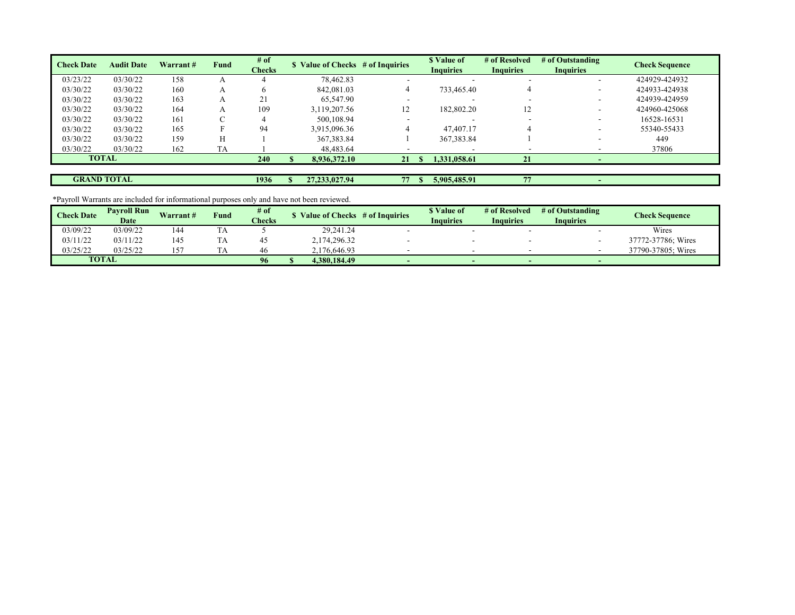| <b>Check Date</b>  | <b>Audit Date</b> | Warrant# | Fund      | # of          |                  | \$ Value of Checks # of Inquiries | \$ Value of              | # of Resolved    | # of Outstanding | <b>Check Sequence</b> |
|--------------------|-------------------|----------|-----------|---------------|------------------|-----------------------------------|--------------------------|------------------|------------------|-----------------------|
|                    |                   |          |           | <b>Checks</b> |                  |                                   | <b>Inquiries</b>         | <b>Inquiries</b> | <b>Inquiries</b> |                       |
| 03/23/22           | 03/30/22          | 158      |           |               | 78,462.83        |                                   | $\overline{\phantom{a}}$ |                  | -                | 424929-424932         |
| 03/30/22           | 03/30/22          | 160      | A         |               | 842,081.03       |                                   | 733,465.40               |                  | -                | 424933-424938         |
| 03/30/22           | 03/30/22          | 163      | A         | 21            | 65,547.90        |                                   |                          |                  | -                | 424939-424959         |
| 03/30/22           | 03/30/22          | 164      | A         | 109           | 3,119,207.56     | 12                                | 182,802.20               | 12               | -                | 424960-425068         |
| 03/30/22           | 03/30/22          | 161      |           |               | 500,108.94       |                                   |                          |                  | ۰                | 16528-16531           |
| 03/30/22           | 03/30/22          | 165      |           | 94            | 3,915,096.36     |                                   | 47,407.17                |                  | -                | 55340-55433           |
| 03/30/22           | 03/30/22          | 159      |           |               | 367, 383.84      |                                   | 367, 383.84              |                  |                  | 449                   |
| 03/30/22           | 03/30/22          | 162      | <b>TA</b> |               | 48,483.64        |                                   |                          |                  |                  | 37806                 |
| <b>TOTAL</b>       |                   |          |           | 240           | 8.936.372.10     | 21                                | 1,331,058.61             | 21               |                  |                       |
|                    |                   |          |           |               |                  |                                   |                          |                  |                  |                       |
| <b>GRAND TOTAL</b> |                   |          |           | 1936          | 27, 233, 027. 94 | 77                                | 5.905.485.91             | 77               |                  |                       |

\*Payroll Warrants are included for informational purposes only and have not been reviewed.

| <b>Check Date</b> | <b>Pavroll Run</b> | Warrant# | $T$ und | # of                        | Value of Checks | # of Inquiries | " Value of | # of Resolved | # of Outstanding | Check Sequence     |
|-------------------|--------------------|----------|---------|-----------------------------|-----------------|----------------|------------|---------------|------------------|--------------------|
|                   | Date               |          |         | <b><i><u>Checks</u></i></b> |                 |                | Inquiries  | Inquiries     | Inquiries        |                    |
| 03/09/22          | 03/09/22           | 144      | ⊥ ∠     |                             | 29,241.24       |                |            |               |                  | Wires              |
| 03/11/22          | 03/11/22           | 145      | ιљ      |                             | 2,174,296.32    |                |            |               |                  | 37772-37786; Wires |
| 03/25/22          | 03/25/22           | .57      |         | 46                          | 2.176.646.93    |                |            |               |                  | 37790-37805: Wires |
|                   | <b>TOTAL</b>       |          |         | 96                          | 4.380.184.49    |                |            | $\sim$        | -                |                    |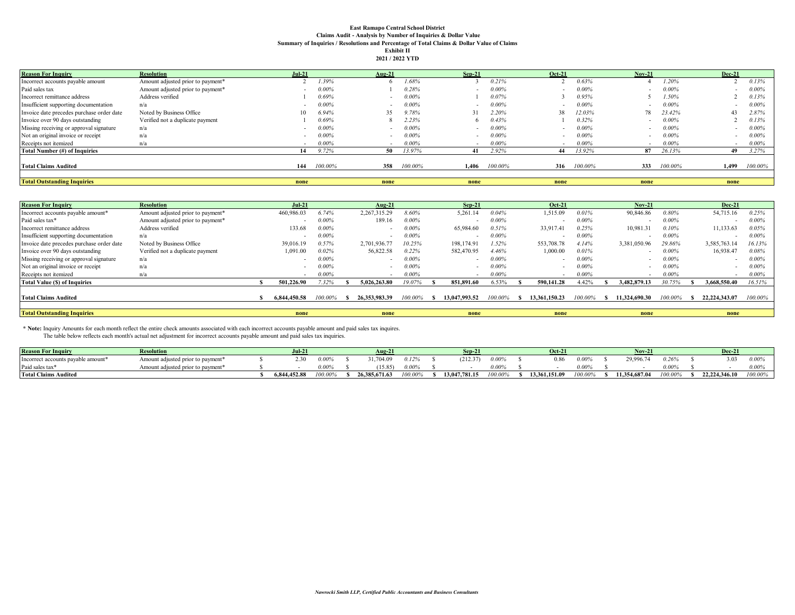## **East Ramapo Central School District Claims Audit - Analysis by Number of Inquiries & Dollar Value Summary of Inquiries / Resolutions and Percentage of Total Claims & Dollar Value of Claims Exhibit II**

|  |  | 2021 / 2022 YTD |  |
|--|--|-----------------|--|
|--|--|-----------------|--|

| <b>Reason For Inquiry</b>                 | <b>Resolution</b>                 | $Jul-21$ |          | Aug-21 |          | $Sep-21$                 |          | $Oct-21$ |          | $Nov-21$                 |          | <b>Dec-21</b> |          |
|-------------------------------------------|-----------------------------------|----------|----------|--------|----------|--------------------------|----------|----------|----------|--------------------------|----------|---------------|----------|
| Incorrect accounts payable amount         | Amount adjusted prior to payment* |          | 1.39%    |        | .68%     |                          | 0.21%    |          | 0.63%    |                          | 1.20%    |               | 0.13%    |
| Paid sales tax                            | Amount adjusted prior to payment* |          | 0.00%    |        | 0.28%    |                          | $0.00\%$ |          | $0.00\%$ |                          | $0.00\%$ |               | $0.00\%$ |
| Incorrect remittance address              | Address verified                  |          | 0.69%    |        | $0.00\%$ |                          | 0.07%    |          | 0.95%    |                          | 1.50%    |               | 0.13%    |
| Insufficient supporting documentation     | n/a                               |          | $0.00\%$ |        | $0.00\%$ | $\overline{\phantom{a}}$ | $0.00\%$ |          | $0.00\%$ |                          | $0.00\%$ |               | 0.00%    |
| Invoice date precedes purchase order date | Noted by Business Office          | 10       | 6.94%    | 35     | 9.78%    |                          | 2.20%    | 38       | 12.03%   | 78                       | 23.42%   | 43            | 2.87%    |
| Invoice over 90 days outstanding          | Verified not a duplicate payment  |          | 0.69%    |        | 2.23%    | 6.                       | 0.43%    |          | $0.32\%$ |                          | $0.00\%$ |               | 0.13%    |
| Missing receiving or approval signature   | n/a                               |          | $0.00\%$ |        | $0.00\%$ | $\overline{\phantom{a}}$ | $0.00\%$ |          | $0.00\%$ | $\overline{\phantom{a}}$ | $0.00\%$ |               | $0.00\%$ |
| Not an original invoice or receipt        | n/a                               |          | 0.00%    |        | $0.00\%$ | $\sim$                   | $0.00\%$ |          | $0.00\%$ |                          | $0.00\%$ |               | $0.00\%$ |
| Receipts not itemized                     | n/a                               |          | 0.00%    |        | $0.00\%$ |                          | $0.00\%$ |          | $0.00\%$ |                          | $0.00\%$ |               | $0.00\%$ |
| Total Number (#) of Inquiries             |                                   | 14       | 9.72%    | 50     | 13.97%   | 41                       | 2.92%    | 44       | 13.92%   | 87                       | 26.13%   | 49            | 3.27%    |
| <b>Total Claims Audited</b>               |                                   | 144      | 100.00%  | 358    | 100.00%  | 1.406                    | 100.00%  | 316      | 100.00%  | 333                      | 100.00%  | 1.499         | 100.00%  |
| <b>Total Outstanding Inquiries</b>        |                                   | none     |          | none   |          | none                     |          | none     |          | none                     |          | none          |          |

| <b>Reason For Inquiry</b>                 | <b>Resolution</b>                 | Jul-21       |          | Aug- $21$        |          | $Sep-21$                 |          | <b>Oct-21</b> |          | <b>Nov-21</b> |         | <b>Dec-21</b> |          |
|-------------------------------------------|-----------------------------------|--------------|----------|------------------|----------|--------------------------|----------|---------------|----------|---------------|---------|---------------|----------|
| Incorrect accounts payable amount*        | Amount adjusted prior to payment* | 460,986.03   | 6.74%    | 2,267,315.29     | 8.60%    | 5,261.14                 | 0.04%    | 1,515.09      | 0.01%    | 90,846.86     | 0.80%   | 54,715.16     | 0.25%    |
| Paid sales tax*                           | Amount adjusted prior to payment* |              | 0.00%    | 189.16           | 0.00%    |                          | $0.00\%$ |               | $0.00\%$ |               | 0.00%   |               | 0.00%    |
| Incorrect remittance address              | Address verified                  | 133.68       | 0.00%    |                  | $0.00\%$ | 65,984.60                | 0.51%    | 33,917.4      | 0.25%    | 10,981.31     | 0.10%   | 11,133.63     | 0.05%    |
| Insufficient supporting documentation     | n/a                               |              | 0.00%    | $\sim$           | $0.00\%$ | $\overline{\phantom{0}}$ | $0.00\%$ |               | $0.00\%$ |               | 0.00%   | $\sim$        | $0.00\%$ |
| Invoice date precedes purchase order date | Noted by Business Office          | 39,016.19    | 0.57%    | 2,701,936.77     | 10.25%   | 198,174.91               | 1.52%    | 553,708.78    | 4.14%    | 3,381,050.96  | 29.86%  | 3,585,763.14  | 16.13%   |
| Invoice over 90 days outstanding          | Verified not a duplicate payment  | 1,091.00     | $0.02\%$ | 56,822.58        | 0.22%    | 582,470.95               | 4.46%    | 1,000.00      | 0.01%    |               | 0.00%   | 16,938.47     | 0.08%    |
| Missing receiving or approval signature   | n/a                               |              | 0.00%    |                  | $0.00\%$ |                          | $0.00\%$ |               | $0.00\%$ |               | 0.00%   |               | 0.00%    |
| Not an original invoice or receipt        | n/a                               |              | 0.00%    | $\sim$           | $0.00\%$ | $\overline{\phantom{0}}$ | $0.00\%$ | $\sim$        | $0.00\%$ |               | 0.00%   | $\sim$        | $0.00\%$ |
| Receipts not itemized                     | n/a                               |              | 0.00%    |                  | $0.00\%$ | $\overline{\phantom{0}}$ | $0.00\%$ |               | 0.00%    | . .           | 0.00%   | $\sim$        | $0.00\%$ |
| <b>Total Value (S) of Inquiries</b>       |                                   | 501,226.90   | 7.32%    | 5.026.263.80     | 19.07%   | 851.891.60               | 6.53%    | 590.141.28    | 4.42%    | 3.482.879.13  | 30.75%  | 3.668.550.40  | 16.51%   |
| <b>Total Claims Audited</b>               |                                   | 6.844.450.58 | 100.00%  | 26, 353, 983, 39 | 100.00%  | 13,047,993.52            | 100.00%  | 13.361.150.23 | 100.00%  | 11.324.690.30 | 100.00% | 22.224.343.07 | 100.00%  |
|                                           |                                   |              |          |                  |          |                          |          |               |          |               |         |               |          |
| <b>Total Outstanding Inquiries</b>        |                                   | none         |          | none             |          | none                     |          | none          |          | none          |         | none          |          |

\* Note: Inquiry Amounts for each month reflect the entire check amounts associated with each incorrect accounts payable amount and paid sales tax inquires.<br>The table below reflects each month's actual net adjustment for in

| <b>Reason For Inquiry</b>                      | <b>Resolution</b>                             | .<br>Jul-2   |          | $Au2-2$          |            | Sen-          |        | <b>Oct-21</b> |         | Nov-21        |            | Dec-21        |         |
|------------------------------------------------|-----------------------------------------------|--------------|----------|------------------|------------|---------------|--------|---------------|---------|---------------|------------|---------------|---------|
| Incorrect accounts payable amount <sup>*</sup> | Amount adjusted prior to payment <sup>*</sup> |              | $0.00\%$ | ,704.09          | 0.12%      | (212.37)      | 0.00%  | 0.86          | 0.00%   | 29.996.       | 0.26%      | 3.03          | 0.009   |
| Paid sales tax                                 | Amount adjusted prior to payment <sup>*</sup> |              | $0.00\%$ | 15.85            | $0.00^{o}$ |               | 0.009' |               | 0.009'  |               | 0.00%      |               | 0.009   |
| <b>Total Claims Audited</b>                    |                                               | 6.844.452.88 | 00.00%   | 26, 385, 671, 63 | '00.00%    | 13,047,781.15 | 00.00% | 13.361.151.09 | '00.00% | 11.354.687.04 | $.00.00^o$ | 22,224,346.10 | 100.00% |